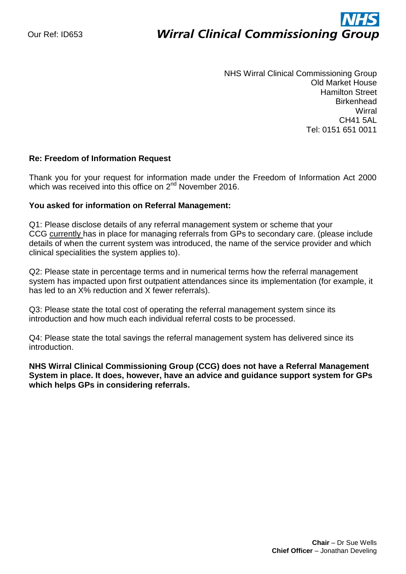## ì **Wirral Clinical Commissioning Group**

NHS Wirral Clinical Commissioning Group Old Market House Hamilton Street **Birkenhead Wirral** CH41 5AL Tel: 0151 651 0011

## **Re: Freedom of Information Request**

Thank you for your request for information made under the Freedom of Information Act 2000 which was received into this office on 2<sup>nd</sup> November 2016.

## **You asked for information on Referral Management:**

Q1: Please disclose details of any referral management system or scheme that your CCG currently has in place for managing referrals from GPs to secondary care. (please include details of when the current system was introduced, the name of the service provider and which clinical specialities the system applies to).

Q2: Please state in percentage terms and in numerical terms how the referral management system has impacted upon first outpatient attendances since its implementation (for example, it has led to an X% reduction and X fewer referrals).

Q3: Please state the total cost of operating the referral management system since its introduction and how much each individual referral costs to be processed.

Q4: Please state the total savings the referral management system has delivered since its introduction.

**NHS Wirral Clinical Commissioning Group (CCG) does not have a Referral Management System in place. It does, however, have an advice and guidance support system for GPs which helps GPs in considering referrals.**